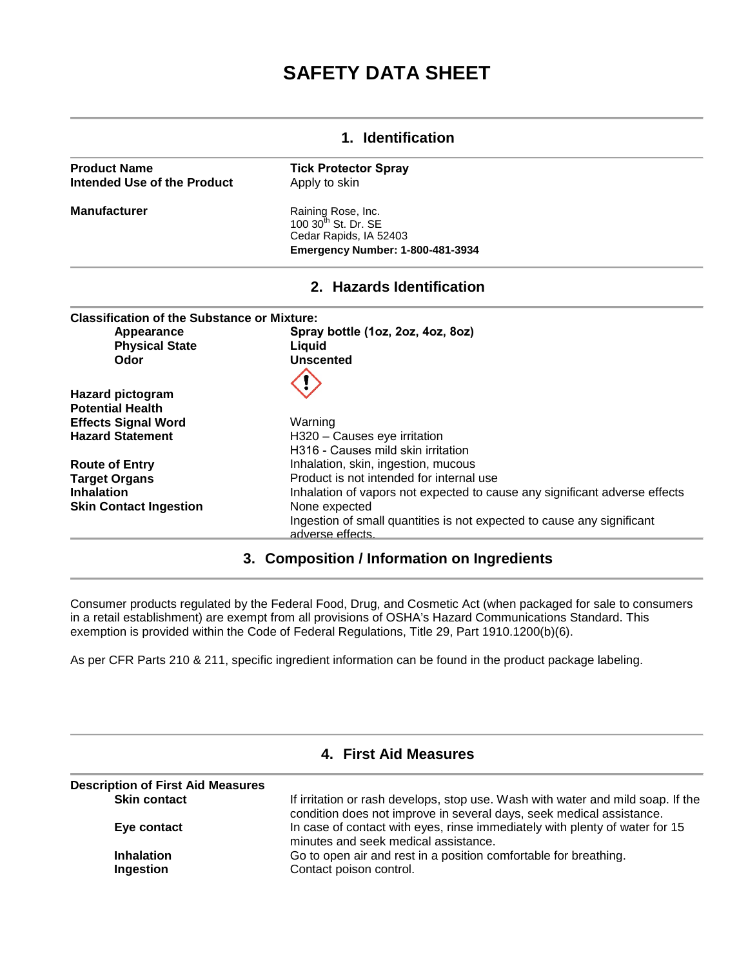# **SAFETY DATA SHEET**

#### **1. Identification Product Name Intended Use of the Product Manufacturer Tick Protector Spray** Apply to skin Raining Rose, Inc.  $100$   $30<sup>th</sup>$  St. Dr. SE Cedar Rapids, IA 52403 **Emergency Number: 1-800-481-3934 2. Hazards Identification Classification of the Substance or Mixture: Appearance Spray bottle (1oz, 2oz, 4oz, 8oz) Physical State**<br>Odor **Unscented Hazard pictogram Potential Health Effects Signal Word Hazard Statement Route of Entry Target Organs Inhalation Skin Contact Ingestion**  Warning H320 – Causes eye irritation H316 - Causes mild skin irritation Inhalation, skin, ingestion, mucous Product is not intended for internal use Inhalation of vapors not expected to cause any significant adverse effects None expected Ingestion of small quantities is not expected to cause any significant adverse effects.

#### **3. Composition / Information on Ingredients**

Consumer products regulated by the Federal Food, Drug, and Cosmetic Act (when packaged for sale to consumers in a retail establishment) are exempt from all provisions of OSHA's Hazard Communications Standard. This exemption is provided within the Code of Federal Regulations, Title 29, Part 1910.1200(b)(6).

As per CFR Parts 210 & 211, specific ingredient information can be found in the product package labeling.

| <b>Description of First Aid Measures</b> |                                                                                                                                                         |
|------------------------------------------|---------------------------------------------------------------------------------------------------------------------------------------------------------|
| <b>Skin contact</b>                      | If irritation or rash develops, stop use. Wash with water and mild soap. If the<br>condition does not improve in several days, seek medical assistance. |
| Eye contact                              | In case of contact with eyes, rinse immediately with plenty of water for 15<br>minutes and seek medical assistance.                                     |
| <b>Inhalation</b>                        | Go to open air and rest in a position comfortable for breathing.                                                                                        |
| Ingestion                                | Contact poison control.                                                                                                                                 |

## **4. First Aid Measures**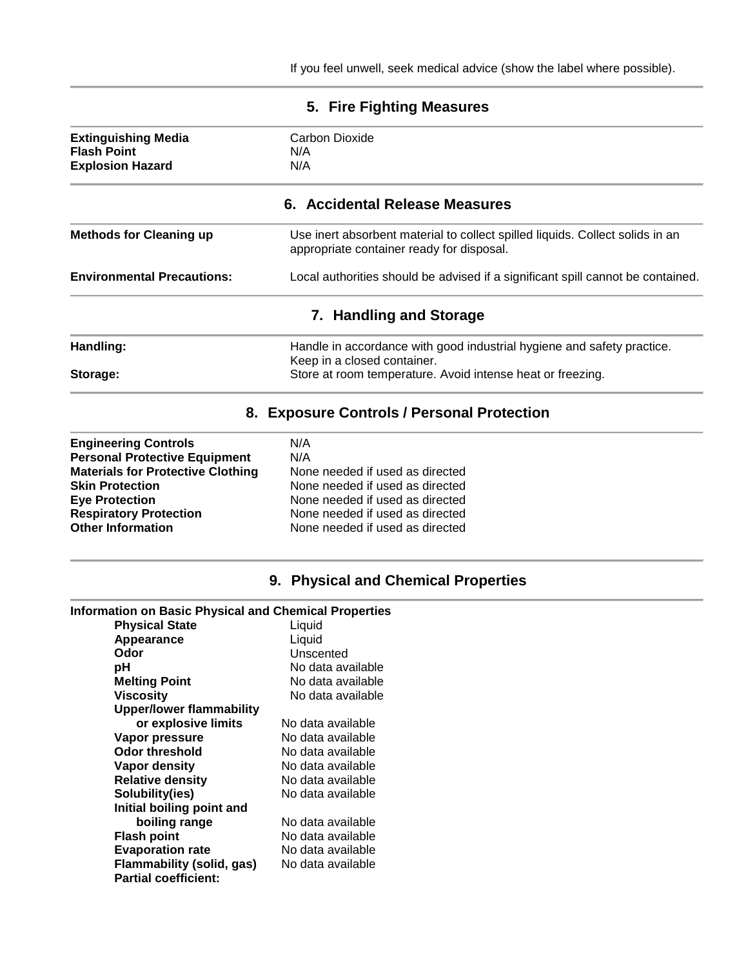| 5. Fire Fighting Measures                                                                                                                                                                                                       |                                                                                                                                                                                           |  |
|---------------------------------------------------------------------------------------------------------------------------------------------------------------------------------------------------------------------------------|-------------------------------------------------------------------------------------------------------------------------------------------------------------------------------------------|--|
| <b>Extinguishing Media</b><br><b>Flash Point</b><br><b>Explosion Hazard</b>                                                                                                                                                     | Carbon Dioxide<br>N/A<br>N/A                                                                                                                                                              |  |
|                                                                                                                                                                                                                                 | 6. Accidental Release Measures                                                                                                                                                            |  |
| <b>Methods for Cleaning up</b>                                                                                                                                                                                                  | Use inert absorbent material to collect spilled liquids. Collect solids in an<br>appropriate container ready for disposal.                                                                |  |
| <b>Environmental Precautions:</b>                                                                                                                                                                                               | Local authorities should be advised if a significant spill cannot be contained.                                                                                                           |  |
|                                                                                                                                                                                                                                 | 7. Handling and Storage                                                                                                                                                                   |  |
| Handling:                                                                                                                                                                                                                       | Handle in accordance with good industrial hygiene and safety practice.<br>Keep in a closed container.                                                                                     |  |
| Storage:                                                                                                                                                                                                                        | Store at room temperature. Avoid intense heat or freezing.                                                                                                                                |  |
|                                                                                                                                                                                                                                 | 8. Exposure Controls / Personal Protection                                                                                                                                                |  |
| <b>Engineering Controls</b><br><b>Personal Protective Equipment</b><br><b>Materials for Protective Clothing</b><br><b>Skin Protection</b><br><b>Eye Protection</b><br><b>Respiratory Protection</b><br><b>Other Information</b> | N/A<br>N/A<br>None needed if used as directed<br>None needed if used as directed<br>None needed if used as directed<br>None needed if used as directed<br>None needed if used as directed |  |
|                                                                                                                                                                                                                                 | 9. Physical and Chemical Properties                                                                                                                                                       |  |
| <b>Information on Basic Physical and Chemical Properties</b>                                                                                                                                                                    |                                                                                                                                                                                           |  |
| <b>Physical State</b>                                                                                                                                                                                                           | Liquid                                                                                                                                                                                    |  |
| Appearance<br>Odor                                                                                                                                                                                                              | Liquid<br>Unscented                                                                                                                                                                       |  |
| pH                                                                                                                                                                                                                              | No data available                                                                                                                                                                         |  |
| <b>Melting Point</b>                                                                                                                                                                                                            | No data available                                                                                                                                                                         |  |
| <b>Viscosity</b>                                                                                                                                                                                                                | No data available                                                                                                                                                                         |  |
| <b>Upper/lower flammability</b>                                                                                                                                                                                                 |                                                                                                                                                                                           |  |
| or explosive limits                                                                                                                                                                                                             | No data available                                                                                                                                                                         |  |
| Vapor pressure                                                                                                                                                                                                                  | No data available                                                                                                                                                                         |  |
| <b>Odor threshold</b>                                                                                                                                                                                                           | No data available                                                                                                                                                                         |  |
| <b>Vapor density</b>                                                                                                                                                                                                            | No data available                                                                                                                                                                         |  |
| <b>Relative density</b>                                                                                                                                                                                                         | No data available                                                                                                                                                                         |  |
| Solubility(ies)                                                                                                                                                                                                                 | No data available                                                                                                                                                                         |  |
| Initial boiling point and                                                                                                                                                                                                       |                                                                                                                                                                                           |  |
| boiling range                                                                                                                                                                                                                   | No data available                                                                                                                                                                         |  |
| <b>Flash point</b>                                                                                                                                                                                                              | No data available                                                                                                                                                                         |  |
| <b>Evaporation rate</b>                                                                                                                                                                                                         | No data available                                                                                                                                                                         |  |
| <b>Flammability (solid, gas)</b>                                                                                                                                                                                                | No data available                                                                                                                                                                         |  |

**Partial coefficient:**